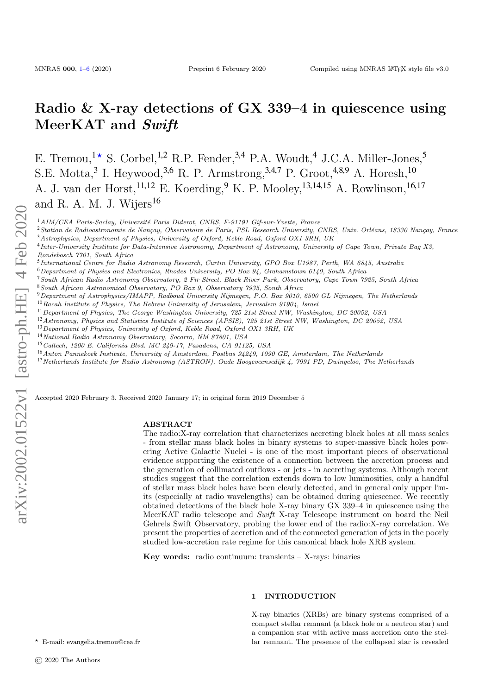# Radio & X-ray detections of GX 339–4 in quiescence using MeerKAT and Swift

E. Tremou, <sup>1\*</sup> S. Corbel, <sup>1,2</sup> R.P. Fender, <sup>3,4</sup> P.A. Woudt, <sup>4</sup> J.C.A. Miller-Jones, <sup>5</sup> S.E. Motta,<sup>3</sup> I. Heywood,<sup>3,6</sup> R. P. Armstrong,<sup>3,4,7</sup> P. Groot,<sup>4,8,9</sup> A. Horesh,<sup>10</sup> A. J. van der Horst,<sup>11,12</sup> E. Koerding,<sup>9</sup> K. P. Mooley,<sup>13,14,15</sup> A. Rowlinson,<sup>16,17</sup> and R. A. M. J. Wijers<sup>16</sup>

 $1AIM/CEA$  Paris-Saclay, Université Paris Diderot, CNRS, F-91191 Gif-sur-Yvette, France

<sup>3</sup>Astrophysics, Department of Physics, University of Oxford, Keble Road, Oxford OX1 3RH, UK

 $6$ Department of Physics and Electronics, Rhodes University, PO Box 94, Grahamstown 6140, South Africa

- <sup>7</sup>South African Radio Astronomy Observatory, 2 Fir Street, Black River Park, Observatory, Cape Town 7925, South Africa
- <sup>8</sup>South African Astronomical Observatory, PO Box 9, Observatory 7935, South Africa

<sup>9</sup>Department of Astrophysics/IMAPP, Radboud University Nijmegen, P.O. Box 9010, 6500 GL Nijmegen, The Netherlands  $10$ Racah Institute of Physics, The Hebrew University of Jerusalem, Jerusalem 91904, Israel

- <sup>11</sup>Department of Physics, The George Washington University, 725 21st Street NW, Washington, DC 20052, USA
- <sup>12</sup> Astronomy, Physics and Statistics Institute of Sciences (APSIS), 725 21st Street NW, Washington, DC 20052, USA
- <sup>13</sup>Department of Physics, University of Oxford, Keble Road, Oxford OX1 3RH, UK
- <sup>14</sup>National Radio Astronomy Observatory, Socorro, NM 87801, USA
- <sup>15</sup>Caltech, 1200 E. California Blvd. MC 249-17, Pasadena, CA 91125, USA
- <sup>16</sup>Anton Pannekoek Institute, University of Amsterdam, Postbus 94249, 1090 GE, Amsterdam, The Netherlands
- <sup>17</sup>Netherlands Institute for Radio Astronomy (ASTRON), Oude Hoogeveensedijk 4, 7991 PD, Dwingeloo, The Netherlands

Accepted 2020 February 3. Received 2020 January 17; in original form 2019 December 5

### ABSTRACT

The radio:X-ray correlation that characterizes accreting black holes at all mass scales - from stellar mass black holes in binary systems to super-massive black holes powering Active Galactic Nuclei - is one of the most important pieces of observational evidence supporting the existence of a connection between the accretion process and the generation of collimated outflows - or jets - in accreting systems. Although recent studies suggest that the correlation extends down to low luminosities, only a handful of stellar mass black holes have been clearly detected, and in general only upper limits (especially at radio wavelengths) can be obtained during quiescence. We recently obtained detections of the black hole X-ray binary GX 339–4 in quiescence using the MeerKAT radio telescope and Swift X-ray Telescope instrument on board the Neil Gehrels Swift Observatory, probing the lower end of the radio:X-ray correlation. We present the properties of accretion and of the connected generation of jets in the poorly studied low-accretion rate regime for this canonical black hole XRB system.

Key words: radio continuum: transients  $-$  X-rays: binaries

#### 1 INTRODUCTION

X-ray binaries (XRBs) are binary systems comprised of a compact stellar remnant (a black hole or a neutron star) and a companion star with active mass accretion onto the stellar remnant. The presence of the collapsed star is revealed

<sup>&</sup>lt;sup>2</sup> Station de Radioastronomie de Nançay, Observatoire de Paris, PSL Research University, CNRS, Univ. Orléans, 18330 Nançay, France

<sup>4</sup> Inter-University Institute for Data-Intensive Astronomy, Department of Astronomy, University of Cape Town, Private Bag X3, Rondebosch 7701, South Africa

<sup>5</sup> International Centre for Radio Astronomy Research, Curtin University, GPO Box U1987, Perth, WA 6845, Australia

<span id="page-0-0"></span><sup>?</sup> E-mail: evangelia.tremou@cea.fr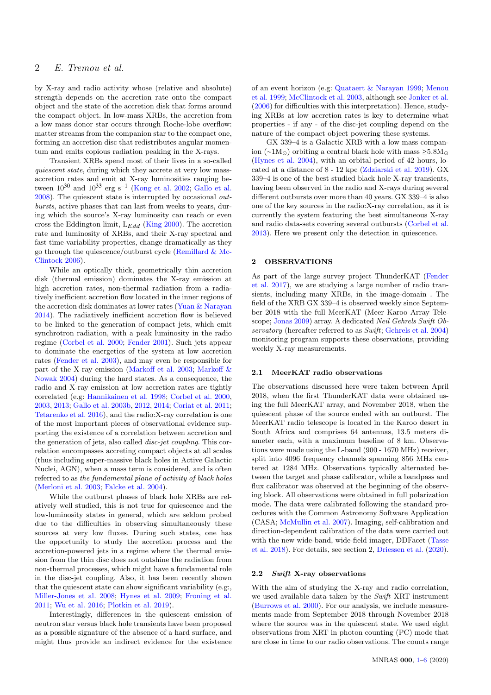by X-ray and radio activity whose (relative and absolute) strength depends on the accretion rate onto the compact object and the state of the accretion disk that forms around the compact object. In low-mass XRBs, the accretion from a low mass donor star occurs through Roche-lobe overflow: matter streams from the companion star to the compact one, forming an accretion disc that redistributes angular momentum and emits copious radiation peaking in the X-rays.

Transient XRBs spend most of their lives in a so-called quiescent state, during which they accrete at very low massaccretion rates and emit at X-ray luminosities ranging between  $10^{30}$  and  $10^{33}$  erg s<sup>-1</sup> [\(Kong et al.](#page-5-0) [2002;](#page-5-0) [Gallo et al.](#page-4-0) [2008\)](#page-4-0). The quiescent state is interrupted by occasional outbursts, active phases that can last from weeks to years, during which the source's X-ray luminosity can reach or even cross the Eddington limit,  $L_{Edd}$  [\(King](#page-5-1) [2000\)](#page-5-1). The accretion rate and luminosity of XRBs, and their X-ray spectral and fast time-variability properties, change dramatically as they go through the quiescence/outburst cycle [\(Remillard & Mc-](#page-5-2)[Clintock](#page-5-2) [2006\)](#page-5-2).

While an optically thick, geometrically thin accretion disk (thermal emission) dominates the X-ray emission at high accretion rates, non-thermal radiation from a radiatively inefficient accretion flow located in the inner regions of the accretion disk dominates at lower rates [\(Yuan & Narayan](#page-5-3) [2014\)](#page-5-3). The radiatively inefficient accretion flow is believed to be linked to the generation of compact jets, which emit synchrotron radiation, with a peak luminosity in the radio regime [\(Corbel et al.](#page-4-1) [2000;](#page-4-1) [Fender](#page-4-2) [2001\)](#page-4-2). Such jets appear to dominate the energetics of the system at low accretion rates [\(Fender et al.](#page-4-3) [2003\)](#page-4-3), and may even be responsible for part of the X-ray emission [\(Markoff et al.](#page-5-4) [2003;](#page-5-4) [Markoff &](#page-5-5) [Nowak](#page-5-5) [2004\)](#page-5-5) during the hard states. As a consequence, the radio and X-ray emission at low accretion rates are tightly correlated (e.g: [Hannikainen et al.](#page-5-6) [1998;](#page-5-6) [Corbel et al.](#page-4-1) [2000,](#page-4-1) [2003,](#page-4-4) [2013;](#page-4-5) [Gallo et al.](#page-4-6) [2003b,](#page-4-6) [2012,](#page-4-7) [2014;](#page-5-7) [Coriat et al.](#page-4-8) [2011;](#page-4-8) [Tetarenko et al.](#page-5-8) [2016\)](#page-5-8), and the radio:X-ray correlation is one of the most important pieces of observational evidence supporting the existence of a correlation between accretion and the generation of jets, also called disc-jet coupling. This correlation encompasses accreting compact objects at all scales (thus including super-massive black holes in Active Galactic Nuclei, AGN), when a mass term is considered, and is often referred to as the fundamental plane of activity of black holes [\(Merloni et al.](#page-5-9) [2003;](#page-5-9) [Falcke et al.](#page-4-9) [2004\)](#page-4-9).

While the outburst phases of black hole XRBs are relatively well studied, this is not true for quiescence and the low-luminosity states in general, which are seldom probed due to the difficulties in observing simultaneously these sources at very low fluxes. During such states, one has the opportunity to study the accretion process and the accretion-powered jets in a regime where the thermal emission from the thin disc does not outshine the radiation from non-thermal processes, which might have a fundamental role in the disc-jet coupling. Also, it has been recently shown that the quiescent state can show significant variability (e.g:, [Miller-Jones et al.](#page-5-10) [2008;](#page-5-10) [Hynes et al.](#page-5-11) [2009;](#page-5-11) [Froning et al.](#page-4-10) [2011;](#page-4-10) [Wu et al.](#page-5-12) [2016;](#page-5-12) [Plotkin et al.](#page-5-13) [2019\)](#page-5-13).

Interestingly, differences in the quiescent emission of neutron star versus black hole transients have been proposed as a possible signature of the absence of a hard surface, and might thus provide an indirect evidence for the existence

of an event horizon (e.g: [Quataert & Narayan](#page-5-14) [1999;](#page-5-14) [Menou](#page-5-15) [et al.](#page-5-15) [1999;](#page-5-15) [McClintock et al.](#page-5-16) [2003,](#page-5-16) although see [Jonker et al.](#page-5-17) [\(2006\)](#page-5-17) for difficulties with this interpretation). Hence, studying XRBs at low accretion rates is key to determine what properties - if any - of the disc-jet coupling depend on the nature of the compact object powering these systems.

GX 339–4 is a Galactic XRB with a low mass companion (∼1 $M_{\odot}$ ) orbiting a central black hole with mass ≥5.8 $M_{\odot}$ [\(Hynes et al.](#page-5-18) [2004\)](#page-5-18), with an orbital period of 42 hours, located at a distance of 8 - 12 kpc [\(Zdziarski et al.](#page-5-19) [2019\)](#page-5-19). GX 339–4 is one of the best studied black hole X-ray transients, having been observed in the radio and X-rays during several different outbursts over more than 40 years. GX 339–4 is also one of the key sources in the radio:X-ray correlation, as it is currently the system featuring the best simultaneous X-ray and radio data-sets covering several outbursts [\(Corbel et al.](#page-4-5) [2013\)](#page-4-5). Here we present only the detection in quiescence.

### 2 OBSERVATIONS

As part of the large survey project ThunderKAT [\(Fender](#page-4-11) [et al.](#page-4-11) [2017\)](#page-4-11), we are studying a large number of radio transients, including many XRBs, in the image-domain . The field of the XRB GX 339–4 is observed weekly since September 2018 with the full MeerKAT (Meer Karoo Array Telescope; [Jonas](#page-5-20) [2009\)](#page-5-20) array. A dedicated Neil Gehrels Swift Ob-servatory (hereafter referred to as Swift; [Gehrels et al.](#page-5-21) [2004\)](#page-5-21) monitoring program supports these observations, providing weekly X-ray measurements.

#### 2.1 MeerKAT radio observations

The observations discussed here were taken between April 2018, when the first ThunderKAT data were obtained using the full MeerKAT array, and November 2018, when the quiescent phase of the source ended with an outburst. The MeerKAT radio telescope is located in the Karoo desert in South Africa and comprises 64 antennas, 13.5 meters diameter each, with a maximum baseline of 8 km. Observations were made using the L-band (900 - 1670 MHz) receiver, split into 4096 frequency channels spanning 856 MHz centered at 1284 MHz. Observations typically alternated between the target and phase calibrator, while a bandpass and flux calibrator was observed at the beginning of the observing block. All observations were obtained in full polarization mode. The data were calibrated following the standard procedures with the Common Astronomy Software Application (CASA; [McMullin et al.](#page-5-22) [2007\)](#page-5-22). Imaging, self-calibration and direction-dependent calibration of the data were carried out with the new wide-band, wide-field imager, DDFacet [\(Tasse](#page-5-23) [et al.](#page-5-23) [2018\)](#page-5-23). For details, see section 2, [Driessen et al.](#page-4-12) [\(2020\)](#page-4-12).

#### 2.2 Swift X-ray observations

With the aim of studying the X-ray and radio correlation, we used available data taken by the Swift XRT instrument [\(Burrows et al.](#page-4-13) [2000\)](#page-4-13). For our analysis, we include measurements made from September 2018 through November 2018 where the source was in the quiescent state. We used eight observations from XRT in photon counting (PC) mode that are close in time to our radio observations. The counts range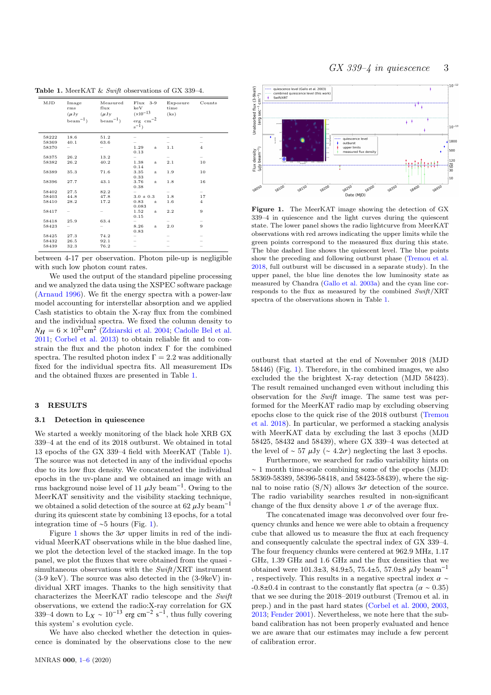GX 339–4 in quiescence 3

MJD Imag rms Measured  $f \mid \mathbf{u}$ Flux 3-9 keV Exposure time Counts  $(\mu Jy)$ beam−1) (µJy beam−1)  $(x10^{-13}$ erg cm−2 s −1) (ks) 58222 18.6 51.2 – – – 58369 40.1 63.6 – – –  $58370$  – – 1.29  $\pm$  $0.13$  $\frac{1}{1}$  1 58375 26.2 13.2 – – –  $58375$  26.2  $13.2$   $-$ <br> $58382$  26.2  $40.2$   $1.38$  ±  $\begin{array}{c} -1.38 \\ 0.14 \end{array}$  $\frac{1}{2.1}$  10 58389 35.3 71.6 3.35 ± 0.33 1.9 10 58396 27.7 43.1 3.76 ± 0.38 1.8 16  $58402$  27.5  $82.2$  – – –  $58403 \qquad 44.8 \qquad \qquad 47.8 \qquad \qquad 3.0 \pm 0.3 \qquad \quad 1.8 \qquad \qquad 17$  $58410$   $28.2$   $17.2$   $0.83$   $\pm$ <br>0.083  $\frac{1.8}{1.6}$  $58417 - 1.52$ 0.15 2.2 9 58418 25.9 63.4 – – –  $58423 - - - 8.26 \pm 0.83$ 2.0 9 58425 27.3 74.2 – – –  $58432$  26.5 92.1 – – – – 58439 32.3 76.2 – – –

<span id="page-2-0"></span>Table 1. MeerKAT & Swift observations of GX 339-4.

between 4-17 per observation. Photon pile-up is negligible with such low photon count rates.

We used the output of the standard pipeline processing and we analyzed the data using the XSPEC software package [\(Arnaud](#page-4-14) [1996\)](#page-4-14). We fit the energy spectra with a power-law model accounting for interstellar absorption and we applied Cash statistics to obtain the X-ray flux from the combined and the individual spectra. We fixed the column density to  $N_H = 6 \times 10^{21} \text{cm}^2$  [\(Zdziarski et al.](#page-5-24) [2004;](#page-5-24) [Cadolle Bel et al.](#page-4-15) [2011;](#page-4-15) [Corbel et al.](#page-4-5) [2013\)](#page-4-5) to obtain reliable fit and to constrain the flux and the photon index  $\Gamma$  for the combined spectra. The resulted photon index  $\Gamma = 2.2$  was additionally fixed for the individual spectra fits. All measurement IDs and the obtained fluxes are presented in Table [1.](#page-2-0)

## 3 RESULTS

## 3.1 Detection in quiescence

We started a weekly monitoring of the black hole XRB GX 339–4 at the end of its 2018 outburst. We obtained in total 13 epochs of the GX 339–4 field with MeerKAT (Table [1\)](#page-2-0). The source was not detected in any of the individual epochs due to its low flux density. We concatenated the individual epochs in the uv-plane and we obtained an image with an rms background noise level of 11  $\mu$ Jy beam<sup>-1</sup>. Owing to the Morr<sup>K</sup> AT sonsitivity and the visibility stacking tochnique. MeerKAT sensitivity and the visibility stacking technique, we obtained a solid detection of the source at 62  $\mu$ Jy beam<sup>-1</sup> during its quiescent state by combining 13 epochs, for a total integration time of ∼5 hours (Fig. [1\)](#page-2-1).

Figure [1](#page-2-1) shows the  $3\sigma$  upper limits in red of the individual MeerKAT observations while in the blue dashed line, we plot the detection level of the stacked image. In the top panel, we plot the fluxes that were obtained from the quasi simultaneous observations with the Swift/XRT instrument (3-9 keV). The source was also detected in the (3-9keV) individual XRT images. Thanks to the high sensitivity that characterizes the MeerKAT radio telescope and the Swift observations, we extend the radio:X-ray correlation for GX 339–4 down to  $L_X \sim 10^{-13}$  erg cm<sup>-2</sup> s<sup>-1</sup>, thus fully covering this system' s evolution cycle.

We have also checked whether the detection in quiescence is dominated by the observations close to the new



<span id="page-2-1"></span>Figure 1. The MeerKAT image showing the detection of GX 339–4 in quiescence and the light curves during the quiescent state. The lower panel shows the radio lightcurve from MeerKAT observations with red arrows indicating the upper limits while the green points correspond to the measured flux during this state. The blue dashed line shows the quiescent level. The blue points show the preceding and following outburst phase [\(Tremou et al.](#page-5-25) [2018,](#page-5-25) full outburst will be discussed in a separate study). In the upper panel, the blue line denotes the low luminosity state as measured by Chandra [\(Gallo et al.](#page-4-16) [2003a\)](#page-4-16) and the cyan line corresponds to the flux as measured by the combined Swift/XRT spectra of the observations shown in Table [1.](#page-2-0)

outburst that started at the end of November 2018 (MJD 58446) (Fig. [1\)](#page-2-1). Therefore, in the combined images, we also excluded the the brightest X-ray detection (MJD 58423). The result remained unchanged even without including this observation for the Swift image. The same test was performed for the MeerKAT radio map by excluding observing epochs close to the quick rise of the 2018 outburst [\(Tremou](#page-5-25) [et al.](#page-5-25) [2018\)](#page-5-25). In particular, we performed a stacking analysis with MeerKAT data by excluding the last 3 epochs (MJD 58425, 58432 and 58439), where GX 339–4 was detected at the level of ~ 57  $\mu$ Jy (~ 4.2 $\sigma$ ) neglecting the last 3 epochs.

Furthermore, we searched for radio variability hints on ∼ 1 month time-scale combining some of the epochs (MJD: 58369-58389, 58396-58418, and 58423-58439), where the signal to noise ratio (S/N) allows  $3\sigma$  detection of the source. The radio variability searches resulted in non-significant change of the flux density above  $1 \sigma$  of the average flux.

The concatenated image was deconvolved over four frequency chunks and hence we were able to obtain a frequency cube that allowed us to measure the flux at each frequency and consequently calculate the spectral index of GX 339–4. The four frequency chunks were centered at 962.9 MHz, 1.17 GHz, 1.39 GHz and 1.6 GHz and the flux densities that we obtained were 101.3±3, 84.9±5, 75.4±5, 57.0±8  $\mu$ Jy beam<sup>-1</sup> , respectively. This results in a negative spectral index  $\alpha \sim$  $-0.8\pm0.4$  in contrast to the constantly flat spectra ( $\alpha \sim 0.35$ ) that we see during the 2018–2019 outburst (Tremou et al. in prep.) and in the past hard states [\(Corbel et al.](#page-4-1) [2000,](#page-4-1) [2003,](#page-4-4) [2013;](#page-4-5) [Fender](#page-4-2) [2001\)](#page-4-2). Nevertheless, we note here that the subband calibration has not been properly evaluated and hence we are aware that our estimates may include a few percent of calibration error.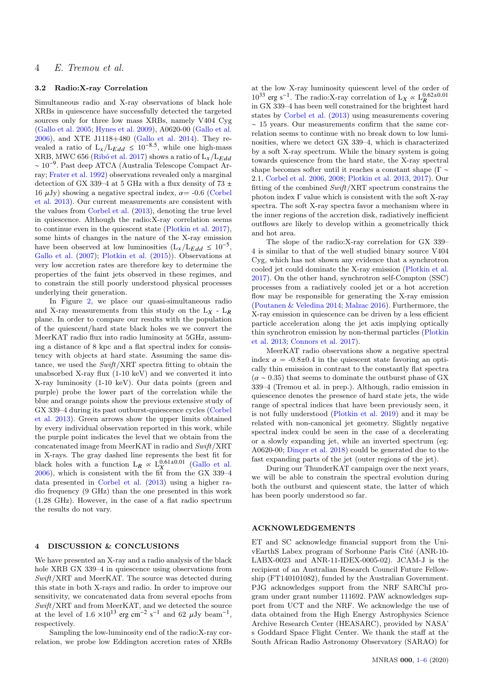# 4 E. Tremou et al.

# 3.2 Radio:X-ray Correlation

Simultaneous radio and X-ray observations of black hole XRBs in quiescence have successfully detected the targeted sources only for three low mass XRBs, namely V404 Cyg [\(Gallo et al.](#page-4-17) [2005;](#page-4-17) [Hynes et al.](#page-5-11) [2009\)](#page-5-11), A0620-00 [\(Gallo et al.](#page-4-18) [2006\)](#page-4-18), and XTE J1118+480 [\(Gallo et al.](#page-5-7) [2014\)](#page-5-7). They revealed a ratio of  $L_x/L_{Edd} \leq 10^{-8.5}$ , while one high-mass XRB, MWC 656 (Ribó et al. [2017\)](#page-5-26) shows a ratio of  $L_x/L_{Edd}$ ∼ 10−<sup>9</sup> . Past deep ATCA (Australia Telescope Compact Array; [Frater et al.](#page-4-19) [1992\)](#page-4-19) observations revealed only a marginal detection of GX 339–4 at 5 GHz with a flux density of 73  $\pm$ 16  $\mu$ Jy) showing a negative spectral index,  $\alpha$  = -0.6 [\(Corbel](#page-4-5) [et al.](#page-4-5) [2013\)](#page-4-5). Our current measurements are consistent with the values from [Corbel et al.](#page-4-5) [\(2013\)](#page-4-5), denoting the true level in quiescence. Although the radio:X-ray correlation seems to continue even in the quiescent state [\(Plotkin et al.](#page-5-27) [2017\)](#page-5-27), some hints of changes in the nature of the X-ray emission have been observed at low luminosities  $(L_x/L_{Edd} \leq 10^{-5})$ , [Gallo et al.](#page-4-20) [\(2007\)](#page-4-20); [Plotkin et al.](#page-5-28) [\(2015\)](#page-5-28)). Observations at very low accretion rates are therefore key to determine the properties of the faint jets observed in these regimes, and to constrain the still poorly understood physical processes underlying their generation.

In Figure [2,](#page-4-21) we place our quasi-simultaneous radio and X-ray measurements from this study on the  $L_X$  -  $L_R$ plane. In order to compare our results with the population of the quiescent/hard state black holes we we convert the MeerKAT radio flux into radio luminosity at 5GHz, assuming a distance of 8 kpc and a flat spectral index for consistency with objects at hard state. Assuming the same distance, we used the Swift/XRT spectra fitting to obtain the unabsorbed X-ray flux (1-10 keV) and we converted it into X-ray luminosity (1-10 keV). Our data points (green and purple) probe the lower part of the correlation while the blue and orange points show the previous extensive study of GX 339–4 during its past outburst-quiescence cycles [\(Corbel](#page-4-5) [et al.](#page-4-5) [2013\)](#page-4-5). Green arrows show the upper limits obtained by every individual observation reported in this work, while the purple point indicates the level that we obtain from the concatenated image from MeerKAT in radio and Swift/XRT in X-rays. The gray dashed line represents the best fit for black holes with a function  $L_R \propto L_X^{0.61\pm0.01}$  [\(Gallo et al.](#page-4-18) [2006\)](#page-4-18), which is consistent with the fit from the GX 339–4 data presented in [Corbel et al.](#page-4-5) [\(2013\)](#page-4-5) using a higher radio frequency (9 GHz) than the one presented in this work (1.28 GHz). However, in the case of a flat radio spectrum the results do not vary.

#### <span id="page-3-0"></span>4 DISCUSSION & CONCLUSIONS

We have presented an X-ray and a radio analysis of the black hole XRB GX 339-4 in quiescence using observations from Swift/XRT and MeerKAT. The source was detected during this state in both X-rays and radio. In order to improve our sensitivity, we concatenated data from several epochs from Swift/XRT and from MeerKAT, and we detected the source at the level of  $1.6 \times 10^{13}$  erg cm<sup>-2</sup> s<sup>-1</sup> and 62  $\mu$ Jy beam<sup>-1</sup>,<br>respectively respectively.

Sampling the low-luminosity end of the radio:X-ray correlation, we probe low Eddington accretion rates of XRBs

at the low X-ray luminosity quiescent level of the order of 10<sup>33</sup> erg s<sup>-1</sup>. The radio:X-ray correlation of L<sub>X</sub> ∝ L<sup>0.62±0.01</sup> in GX 339–4 has been well constrained for the brightest hard states by [Corbel et al.](#page-4-5) [\(2013\)](#page-4-5) using measurements covering ∼ 15 years. Our measurements confirm that the same correlation seems to continue with no break down to low luminosities, where we detect GX 339–4, which is characterized by a soft X-ray spectrum. While the binary system is going towards quiescence from the hard state, the X-ray spectral shape becomes softer until it reaches a constant shape (Γ ∼ 2.1, [Corbel et al.](#page-4-22) [2006,](#page-4-22) [2008;](#page-4-23) [Plotkin et al.](#page-5-29) [2013,](#page-5-29) [2017\)](#page-5-27). Our fitting of the combined Swift/XRT spectrum constrains the photon index Γ value which is consistent with the soft X-ray spectra. The soft X-ray spectra favor a mechanism where in the inner regions of the accretion disk, radiatively inefficient outflows are likely to develop within a geometrically thick and hot area.

The slope of the radio:X-ray correlation for GX 339– 4 is similar to that of the well studied binary source V404 Cyg, which has not shown any evidence that a synchrotron cooled jet could dominate the X-ray emission [\(Plotkin et al.](#page-5-27) [2017\)](#page-5-27). On the other hand, synchrotron self-Compton (SSC) processes from a radiatively cooled jet or a hot accretion flow may be responsible for generating the X-ray emission [\(Poutanen & Veledina](#page-5-30) [2014;](#page-5-30) [Malzac](#page-5-31) [2016\)](#page-5-31). Furthermore, the X-ray emission in quiescence can be driven by a less efficient particle acceleration along the jet axis implying optically thin synchrotron emission by non-thermal particles [\(Plotkin](#page-5-29) [et al.](#page-5-29) [2013;](#page-5-29) [Connors et al.](#page-4-24) [2017\)](#page-4-24).

MeerKAT radio observations show a negative spectral index  $\alpha = -0.8 \pm 0.4$  in the quiescent state favoring an optically thin emission in contrast to the constantly flat spectra  $(\alpha \sim 0.35)$  that seems to dominate the outburst phase of GX 339–4 (Tremou et al. in prep.). Although, radio emission in quiescence denotes the presence of hard state jets, the wide range of spectral indices that have been previously seen, it is not fully understood [\(Plotkin et al.](#page-5-13) [2019\)](#page-5-13) and it may be related with non-canonical jet geometry. Slightly negative spectral index could be seen in the case of a decelerating or a slowly expanding jet, while an inverted spectrum (eg: A0620-00; Dinçer et al. [2018\)](#page-4-25) could be generated due to the fast expanding parts of the jet (outer regions of the jet).

During our ThunderKAT campaign over the next years, we will be able to constrain the spectral evolution during both the outburst and quiescent state, the latter of which has been poorly understood so far.

#### ACKNOWLEDGEMENTS

ET and SC acknowledge financial support from the UnivEarthS Labex program of Sorbonne Paris Cité (ANR-10-LABX-0023 and ANR-11-IDEX-0005-02). JCAM-J is the recipient of an Australian Research Council Future Fellowship (FT140101082), funded by the Australian Government. PJG acknowledges support from the NRF SARChI program under grant number 111692. PAW acknowledges support from UCT and the NRF. We acknowledge the use of data obtained from the High Energy Astrophysics Science Archive Research Center (HEASARC), provided by NASA' s Goddard Space Flight Center. We thank the staff at the South African Radio Astronomy Observatory (SARAO) for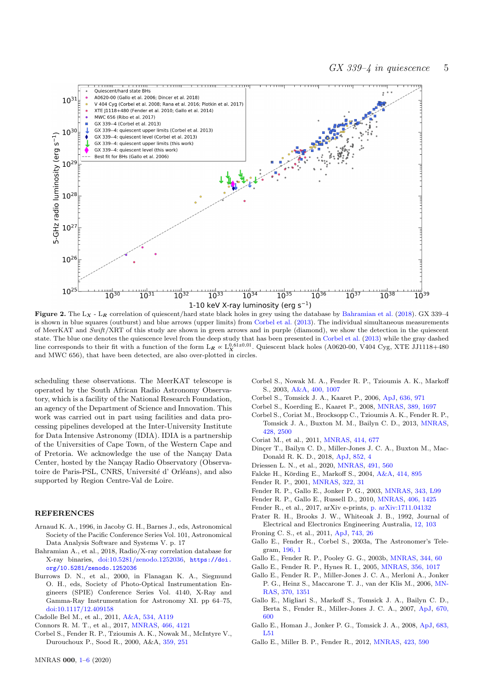

Figure 2. The  $L_X$  -  $L_R$  correlation of quiescent/hard state black holes in grey using the database by [Bahramian et al.](#page-4-26) [\(2018\)](#page-4-26). GX 339-4 is shown in blue squares (outburst) and blue arrows (upper limits) from [Corbel et al.](#page-4-5) [\(2013\)](#page-4-5). The individual simultaneous measurements of MeerKAT and Swift/XRT of this study are shown in green arrows and in purple (diamond), we show the detection in the quiescent state. The blue one denotes the quiescence level from the deep study that has been presented in [Corbel et al.](#page-4-5) [\(2013\)](#page-4-5) while the gray dashed line corresponds to their fit with a function of the form  $L_R \propto L_X^{0.61\pm0.01}$ . Quiescent black holes (A0620-00, V404 Cyg, XTE JJ1118+480 and MWC 656), that have been detected, are also over-plotted in circles.

scheduling these observations. The MeerKAT telescope is operated by the South African Radio Astronomy Observatory, which is a facility of the National Research Foundation, an agency of the Department of Science and Innovation. This work was carried out in part using facilities and data processing pipelines developed at the Inter-University Institute for Data Intensive Astronomy (IDIA). IDIA is a partnership of the Universities of Cape Town, of the Western Cape and of Pretoria. We acknowledge the use of the Nançay Data Center, hosted by the Nançay Radio Observatory (Observatoire de Paris-PSL, CNRS, Université d' Orléans), and also supported by Region Centre-Val de Loire.

### **REFERENCES**

- <span id="page-4-14"></span>Arnaud K. A., 1996, in Jacoby G. H., Barnes J., eds, Astronomical Society of the Pacific Conference Series Vol. 101, Astronomical Data Analysis Software and Systems V. p. 17
- <span id="page-4-26"></span>Bahramian A., et al., 2018, Radio/X-ray correlation database for X-ray binaries, [doi:10.5281/zenodo.1252036,](http://dx.doi.org/10.5281/zenodo.1252036) [https://doi.](https://doi.org/10.5281/zenodo.1252036) [org/10.5281/zenodo.1252036](https://doi.org/10.5281/zenodo.1252036)
- <span id="page-4-13"></span>Burrows D. N., et al., 2000, in Flanagan K. A., Siegmund O. H., eds, Society of Photo-Optical Instrumentation Engineers (SPIE) Conference Series Vol. 4140, X-Ray and Gamma-Ray Instrumentation for Astronomy XI. pp 64–75, [doi:10.1117/12.409158](http://dx.doi.org/10.1117/12.409158)
- <span id="page-4-15"></span>Cadolle Bel M., et al., 2011, [A&A,](http://dx.doi.org/10.1051/0004-6361/201117684) [534, A119](https://ui.adsabs.harvard.edu/abs/2011A&A...534A.119C)
- <span id="page-4-24"></span>Connors R. M. T., et al., 2017, [MNRAS,](http://dx.doi.org/10.1093/mnras/stw3150) [466, 4121](https://ui.adsabs.harvard.edu/abs/2017MNRAS.466.4121C)
- <span id="page-4-1"></span>Corbel S., Fender R. P., Tzioumis A. K., Nowak M., McIntyre V., Durouchoux P., Sood R., 2000, A&A, [359, 251](https://ui.adsabs.harvard.edu/abs/2000A&A...359..251C)
- <span id="page-4-21"></span><span id="page-4-4"></span>Corbel S., Nowak M. A., Fender R. P., Tzioumis A. K., Markoff S., 2003, [A&A,](http://dx.doi.org/10.1051/0004-6361:20030090) [400, 1007](https://ui.adsabs.harvard.edu/abs/2003A&A...400.1007C)
- <span id="page-4-22"></span>Corbel S., Tomsick J. A., Kaaret P., 2006, [ApJ,](http://dx.doi.org/10.1086/498230) [636, 971](https://ui.adsabs.harvard.edu/abs/2006ApJ...636..971C)
- <span id="page-4-23"></span>Corbel S., Koerding E., Kaaret P., 2008, [MNRAS,](http://dx.doi.org/10.1111/j.1365-2966.2008.13542.x) [389, 1697](https://ui.adsabs.harvard.edu/abs/2008MNRAS.389.1697C)
- <span id="page-4-5"></span>Corbel S., Coriat M., Brocksopp C., Tzioumis A. K., Fender R. P., Tomsick J. A., Buxton M. M., Bailyn C. D., 2013, [MNRAS,](http://dx.doi.org/10.1093/mnras/sts215) [428, 2500](https://ui.adsabs.harvard.edu/abs/2013MNRAS.428.2500C)
- <span id="page-4-8"></span>Coriat M., et al., 2011, [MNRAS,](http://dx.doi.org/10.1111/j.1365-2966.2011.18433.x) [414, 677](https://ui.adsabs.harvard.edu/abs/2011MNRAS.414..677C)
- <span id="page-4-25"></span>Dinçer T., Bailyn C. D., Miller-Jones J. C. A., Buxton M., Mac-Donald R. K. D., 2018, [ApJ,](http://dx.doi.org/10.3847/1538-4357/aa9a46) [852, 4](https://ui.adsabs.harvard.edu/abs/2018ApJ...852....4D)
- <span id="page-4-12"></span>Driessen L. N., et al., 2020, [MNRAS,](http://dx.doi.org/10.1093/mnras/stz3027) [491, 560](https://ui.adsabs.harvard.edu/abs/2020MNRAS.491..560D)
- <span id="page-4-9"></span>Falcke H., Körding E., Markoff S., 2004, [A&A,](http://dx.doi.org/10.1051/0004-6361:20031683) [414, 895](https://ui.adsabs.harvard.edu/abs/2004A&A...414..895F)
- <span id="page-4-2"></span>Fender R. P., 2001, [MNRAS,](http://dx.doi.org/10.1046/j.1365-8711.2001.04080.x) [322, 31](https://ui.adsabs.harvard.edu/abs/2001MNRAS.322...31F)
- <span id="page-4-3"></span>Fender R. P., Gallo E., Jonker P. G., 2003, [MNRAS,](http://dx.doi.org/10.1046/j.1365-8711.2003.06950.x) [343, L99](https://ui.adsabs.harvard.edu/abs/2003MNRAS.343L..99F)
- Fender R. P., Gallo E., Russell D., 2010, [MNRAS,](http://dx.doi.org/10.1111/j.1365-2966.2010.16754.x) [406, 1425](https://ui.adsabs.harvard.edu/abs/2010MNRAS.406.1425F)
- <span id="page-4-11"></span>Fender R., et al., 2017, arXiv e-prints, [p. arXiv:1711.04132](https://ui.adsabs.harvard.edu/abs/2017arXiv171104132F)
- <span id="page-4-19"></span>Frater R. H., Brooks J. W., Whiteoak J. B., 1992, Journal of Electrical and Electronics Engineering Australia, [12, 103](https://ui.adsabs.harvard.edu/abs/1992JEEEA..12..103F)
- <span id="page-4-10"></span>Froning C. S., et al., 2011, [ApJ,](http://dx.doi.org/10.1088/0004-637X/743/1/26) [743, 26](https://ui.adsabs.harvard.edu/abs/2011ApJ...743...26F)
- <span id="page-4-16"></span>Gallo E., Fender R., Corbel S., 2003a, The Astronomer's Telegram, [196, 1](https://ui.adsabs.harvard.edu/abs/2003ATel..196....1G)
- <span id="page-4-6"></span>Gallo E., Fender R. P., Pooley G. G., 2003b, [MNRAS,](http://dx.doi.org/10.1046/j.1365-8711.2003.06791.x) [344, 60](https://ui.adsabs.harvard.edu/abs/2003MNRAS.344...60G)
- <span id="page-4-17"></span>Gallo E., Fender R. P., Hynes R. I., 2005, [MNRAS,](http://dx.doi.org/10.1111/j.1365-2966.2004.08503.x) [356, 1017](https://ui.adsabs.harvard.edu/abs/2005MNRAS.356.1017G)
- <span id="page-4-18"></span>Gallo E., Fender R. P., Miller-Jones J. C. A., Merloni A., Jonker P. G., Heinz S., Maccarone T. J., van der Klis M., 2006, [MN-](http://dx.doi.org/10.1111/j.1365-2966.2006.10560.x)[RAS,](http://dx.doi.org/10.1111/j.1365-2966.2006.10560.x) [370, 1351](https://ui.adsabs.harvard.edu/abs/2006MNRAS.370.1351G)
- <span id="page-4-20"></span>Gallo E., Migliari S., Markoff S., Tomsick J. A., Bailyn C. D., Berta S., Fender R., Miller-Jones J. C. A., 2007, [ApJ,](http://dx.doi.org/10.1086/521524) [670,](https://ui.adsabs.harvard.edu/abs/2007ApJ...670..600G) [600](https://ui.adsabs.harvard.edu/abs/2007ApJ...670..600G)
- <span id="page-4-0"></span>Gallo E., Homan J., Jonker P. G., Tomsick J. A., 2008, [ApJ,](http://dx.doi.org/10.1086/591230) [683,](https://ui.adsabs.harvard.edu/abs/2008ApJ...683L..51G) [L51](https://ui.adsabs.harvard.edu/abs/2008ApJ...683L..51G)
- <span id="page-4-7"></span>Gallo E., Miller B. P., Fender R., 2012, [MNRAS,](http://dx.doi.org/10.1111/j.1365-2966.2012.20899.x) [423, 590](https://ui.adsabs.harvard.edu/abs/2012MNRAS.423..590G)